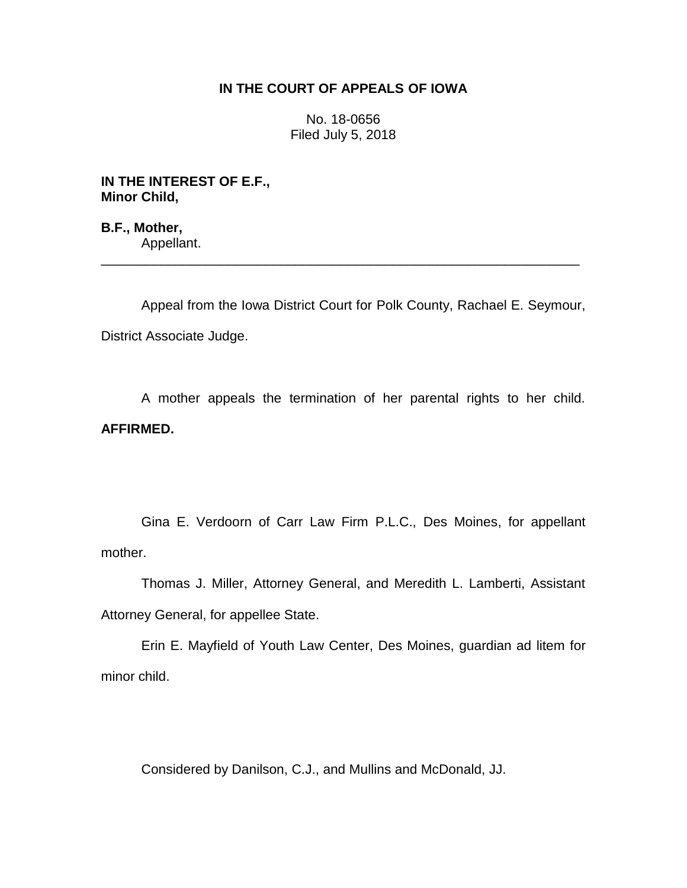# **IN THE COURT OF APPEALS OF IOWA**

No. 18-0656 Filed July 5, 2018

**IN THE INTEREST OF E.F., Minor Child,**

**B.F., Mother,** Appellant. \_\_\_\_\_\_\_\_\_\_\_\_\_\_\_\_\_\_\_\_\_\_\_\_\_\_\_\_\_\_\_\_\_\_\_\_\_\_\_\_\_\_\_\_\_\_\_\_\_\_\_\_\_\_\_\_\_\_\_\_\_\_\_\_

Appeal from the Iowa District Court for Polk County, Rachael E. Seymour, District Associate Judge.

A mother appeals the termination of her parental rights to her child. **AFFIRMED.**

Gina E. Verdoorn of Carr Law Firm P.L.C., Des Moines, for appellant mother.

Thomas J. Miller, Attorney General, and Meredith L. Lamberti, Assistant Attorney General, for appellee State.

Erin E. Mayfield of Youth Law Center, Des Moines, guardian ad litem for minor child.

Considered by Danilson, C.J., and Mullins and McDonald, JJ.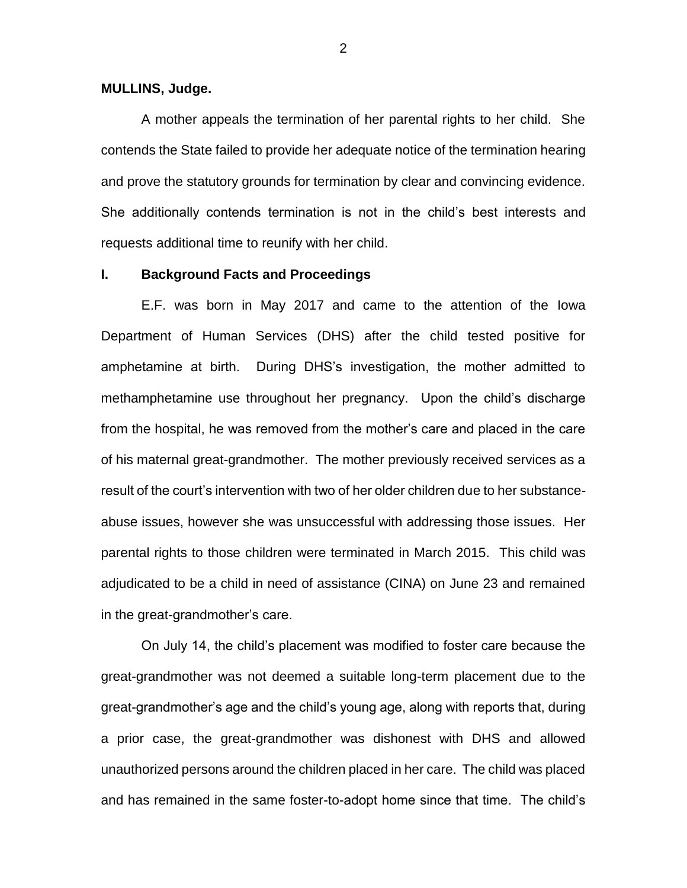#### **MULLINS, Judge.**

A mother appeals the termination of her parental rights to her child. She contends the State failed to provide her adequate notice of the termination hearing and prove the statutory grounds for termination by clear and convincing evidence. She additionally contends termination is not in the child's best interests and requests additional time to reunify with her child.

## **I. Background Facts and Proceedings**

E.F. was born in May 2017 and came to the attention of the Iowa Department of Human Services (DHS) after the child tested positive for amphetamine at birth. During DHS's investigation, the mother admitted to methamphetamine use throughout her pregnancy. Upon the child's discharge from the hospital, he was removed from the mother's care and placed in the care of his maternal great-grandmother. The mother previously received services as a result of the court's intervention with two of her older children due to her substanceabuse issues, however she was unsuccessful with addressing those issues. Her parental rights to those children were terminated in March 2015. This child was adjudicated to be a child in need of assistance (CINA) on June 23 and remained in the great-grandmother's care.

On July 14, the child's placement was modified to foster care because the great-grandmother was not deemed a suitable long-term placement due to the great-grandmother's age and the child's young age, along with reports that, during a prior case, the great-grandmother was dishonest with DHS and allowed unauthorized persons around the children placed in her care. The child was placed and has remained in the same foster-to-adopt home since that time. The child's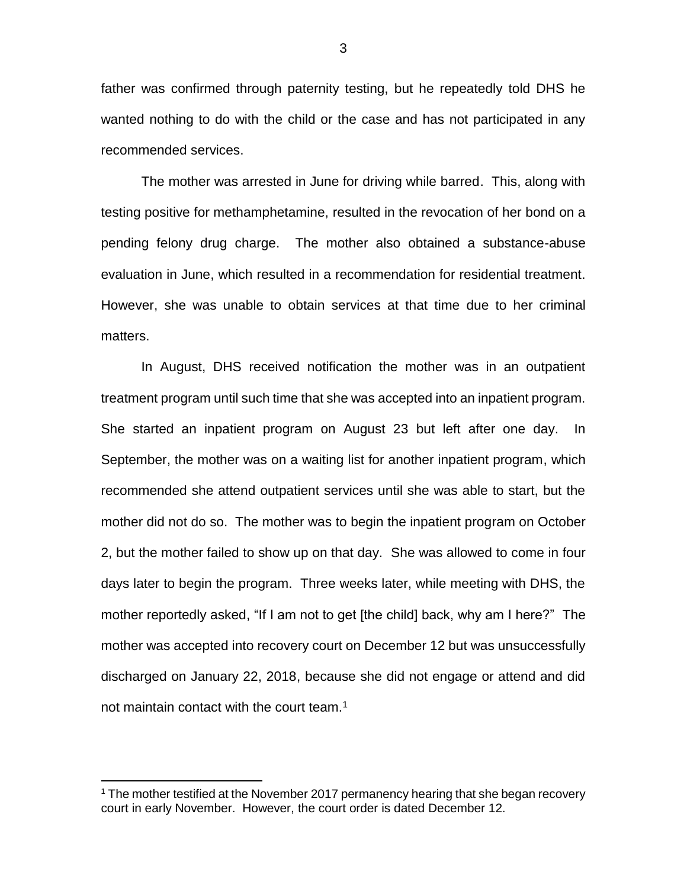father was confirmed through paternity testing, but he repeatedly told DHS he wanted nothing to do with the child or the case and has not participated in any recommended services.

The mother was arrested in June for driving while barred. This, along with testing positive for methamphetamine, resulted in the revocation of her bond on a pending felony drug charge. The mother also obtained a substance-abuse evaluation in June, which resulted in a recommendation for residential treatment. However, she was unable to obtain services at that time due to her criminal matters.

In August, DHS received notification the mother was in an outpatient treatment program until such time that she was accepted into an inpatient program. She started an inpatient program on August 23 but left after one day. In September, the mother was on a waiting list for another inpatient program, which recommended she attend outpatient services until she was able to start, but the mother did not do so. The mother was to begin the inpatient program on October 2, but the mother failed to show up on that day. She was allowed to come in four days later to begin the program. Three weeks later, while meeting with DHS, the mother reportedly asked, "If I am not to get [the child] back, why am I here?" The mother was accepted into recovery court on December 12 but was unsuccessfully discharged on January 22, 2018, because she did not engage or attend and did not maintain contact with the court team.<sup>1</sup>

 $\overline{a}$ 

<sup>&</sup>lt;sup>1</sup> The mother testified at the November 2017 permanency hearing that she began recovery court in early November. However, the court order is dated December 12.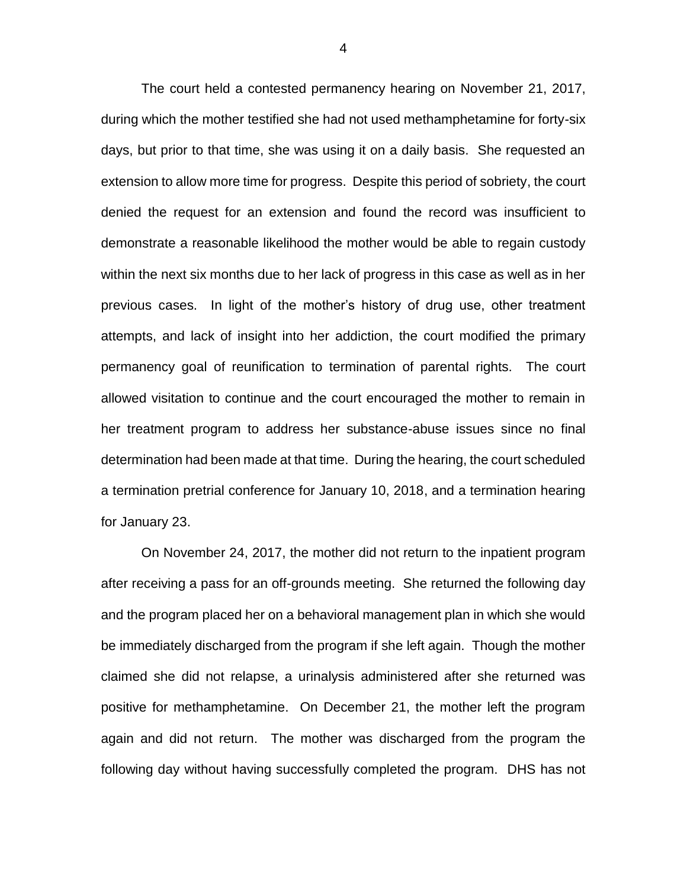The court held a contested permanency hearing on November 21, 2017, during which the mother testified she had not used methamphetamine for forty-six days, but prior to that time, she was using it on a daily basis. She requested an extension to allow more time for progress. Despite this period of sobriety, the court denied the request for an extension and found the record was insufficient to demonstrate a reasonable likelihood the mother would be able to regain custody within the next six months due to her lack of progress in this case as well as in her previous cases. In light of the mother's history of drug use, other treatment attempts, and lack of insight into her addiction, the court modified the primary permanency goal of reunification to termination of parental rights. The court allowed visitation to continue and the court encouraged the mother to remain in her treatment program to address her substance-abuse issues since no final determination had been made at that time. During the hearing, the court scheduled a termination pretrial conference for January 10, 2018, and a termination hearing for January 23.

On November 24, 2017, the mother did not return to the inpatient program after receiving a pass for an off-grounds meeting. She returned the following day and the program placed her on a behavioral management plan in which she would be immediately discharged from the program if she left again. Though the mother claimed she did not relapse, a urinalysis administered after she returned was positive for methamphetamine. On December 21, the mother left the program again and did not return. The mother was discharged from the program the following day without having successfully completed the program. DHS has not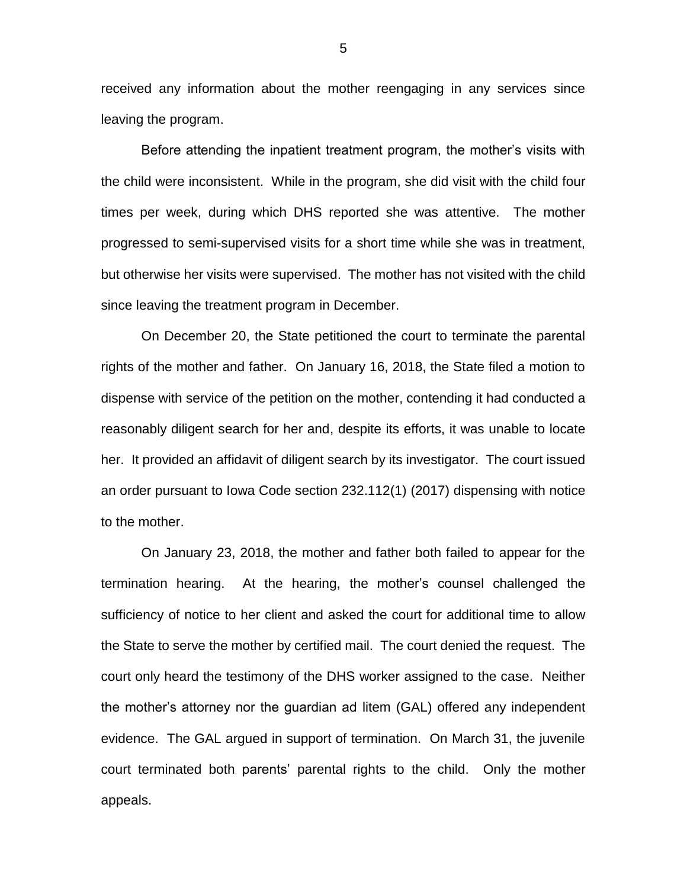received any information about the mother reengaging in any services since leaving the program.

Before attending the inpatient treatment program, the mother's visits with the child were inconsistent. While in the program, she did visit with the child four times per week, during which DHS reported she was attentive. The mother progressed to semi-supervised visits for a short time while she was in treatment, but otherwise her visits were supervised. The mother has not visited with the child since leaving the treatment program in December.

On December 20, the State petitioned the court to terminate the parental rights of the mother and father. On January 16, 2018, the State filed a motion to dispense with service of the petition on the mother, contending it had conducted a reasonably diligent search for her and, despite its efforts, it was unable to locate her. It provided an affidavit of diligent search by its investigator. The court issued an order pursuant to Iowa Code section 232.112(1) (2017) dispensing with notice to the mother.

On January 23, 2018, the mother and father both failed to appear for the termination hearing. At the hearing, the mother's counsel challenged the sufficiency of notice to her client and asked the court for additional time to allow the State to serve the mother by certified mail. The court denied the request. The court only heard the testimony of the DHS worker assigned to the case. Neither the mother's attorney nor the guardian ad litem (GAL) offered any independent evidence. The GAL argued in support of termination. On March 31, the juvenile court terminated both parents' parental rights to the child. Only the mother appeals.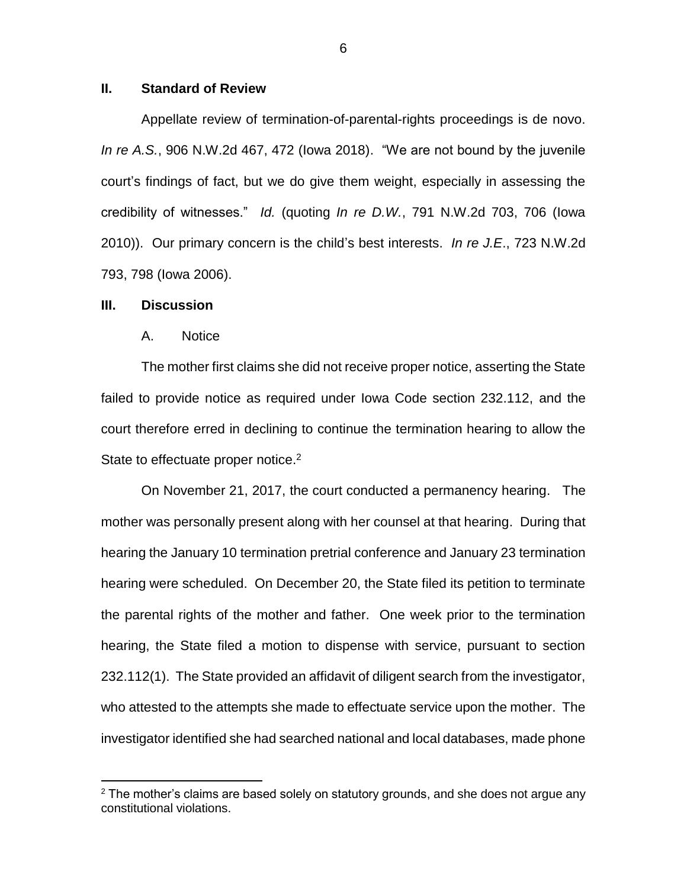### **II. Standard of Review**

Appellate review of termination-of-parental-rights proceedings is de novo. *In re A.S.*, 906 N.W.2d 467, 472 (Iowa 2018). "We are not bound by the juvenile court's findings of fact, but we do give them weight, especially in assessing the credibility of witnesses." *Id.* (quoting *In re D.W.*, 791 N.W.2d 703, 706 (Iowa 2010)). Our primary concern is the child's best interests. *In re J.E*., 723 N.W.2d 793, 798 (Iowa 2006).

#### **III. Discussion**

 $\overline{a}$ 

#### A. Notice

The mother first claims she did not receive proper notice, asserting the State failed to provide notice as required under Iowa Code section 232.112, and the court therefore erred in declining to continue the termination hearing to allow the State to effectuate proper notice.<sup>2</sup>

On November 21, 2017, the court conducted a permanency hearing. The mother was personally present along with her counsel at that hearing. During that hearing the January 10 termination pretrial conference and January 23 termination hearing were scheduled. On December 20, the State filed its petition to terminate the parental rights of the mother and father. One week prior to the termination hearing, the State filed a motion to dispense with service, pursuant to section 232.112(1). The State provided an affidavit of diligent search from the investigator, who attested to the attempts she made to effectuate service upon the mother. The investigator identified she had searched national and local databases, made phone

 $2$  The mother's claims are based solely on statutory grounds, and she does not argue any constitutional violations.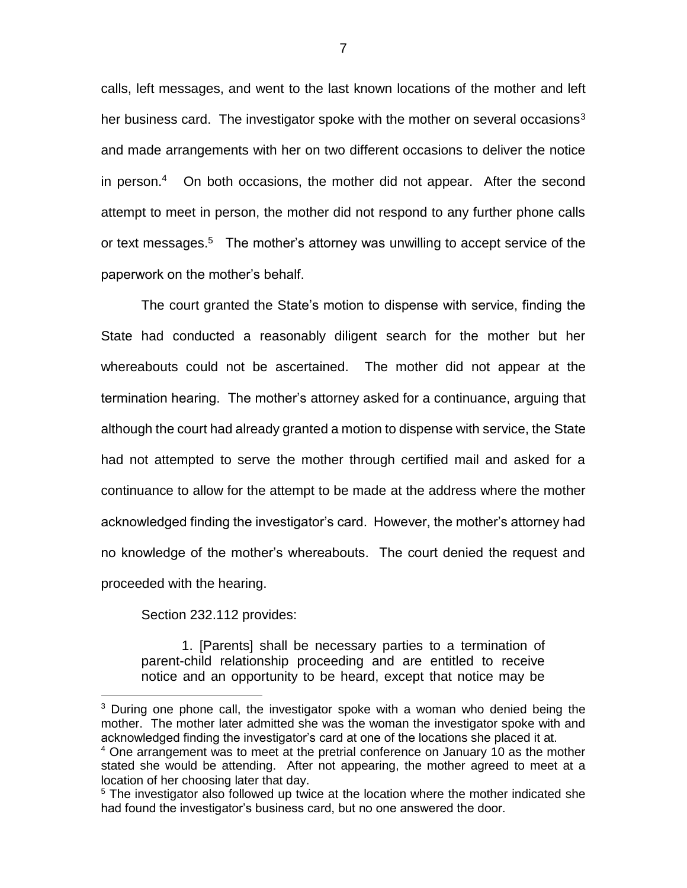calls, left messages, and went to the last known locations of the mother and left her business card. The investigator spoke with the mother on several occasions<sup>3</sup> and made arrangements with her on two different occasions to deliver the notice in person.<sup>4</sup> On both occasions, the mother did not appear. After the second attempt to meet in person, the mother did not respond to any further phone calls or text messages.<sup>5</sup> The mother's attorney was unwilling to accept service of the paperwork on the mother's behalf.

The court granted the State's motion to dispense with service, finding the State had conducted a reasonably diligent search for the mother but her whereabouts could not be ascertained. The mother did not appear at the termination hearing. The mother's attorney asked for a continuance, arguing that although the court had already granted a motion to dispense with service, the State had not attempted to serve the mother through certified mail and asked for a continuance to allow for the attempt to be made at the address where the mother acknowledged finding the investigator's card. However, the mother's attorney had no knowledge of the mother's whereabouts. The court denied the request and proceeded with the hearing.

Section 232.112 provides:

 $\overline{a}$ 

1. [Parents] shall be necessary parties to a termination of parent-child relationship proceeding and are entitled to receive notice and an opportunity to be heard, except that notice may be

 $3$  During one phone call, the investigator spoke with a woman who denied being the mother. The mother later admitted she was the woman the investigator spoke with and acknowledged finding the investigator's card at one of the locations she placed it at. <sup>4</sup> One arrangement was to meet at the pretrial conference on January 10 as the mother stated she would be attending. After not appearing, the mother agreed to meet at a location of her choosing later that day.

<sup>&</sup>lt;sup>5</sup> The investigator also followed up twice at the location where the mother indicated she had found the investigator's business card, but no one answered the door.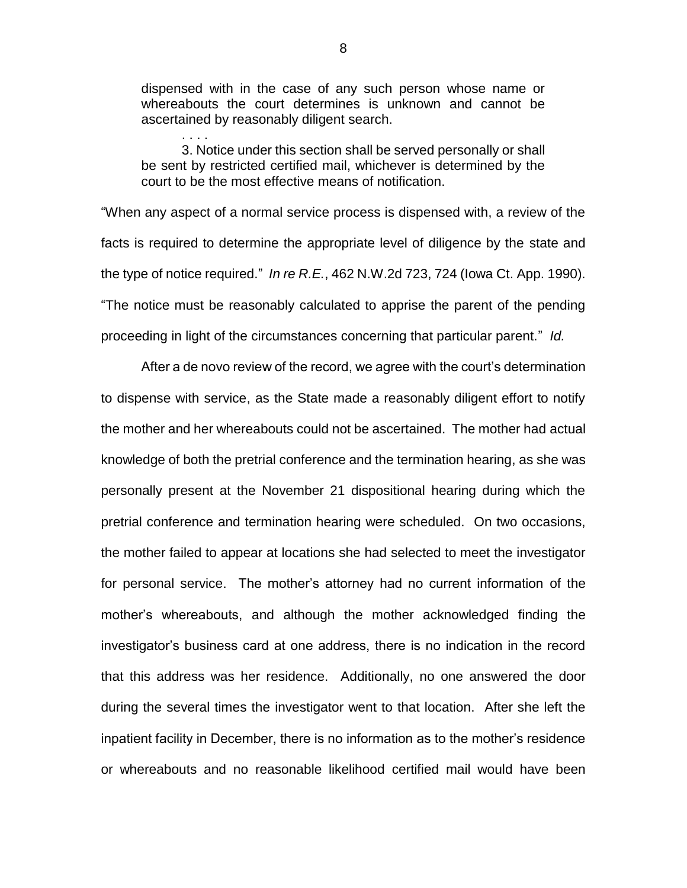dispensed with in the case of any such person whose name or whereabouts the court determines is unknown and cannot be ascertained by reasonably diligent search.

. . . .

3. Notice under this section shall be served personally or shall be sent by restricted certified mail, whichever is determined by the court to be the most effective means of notification.

"When any aspect of a normal service process is dispensed with, a review of the facts is required to determine the appropriate level of diligence by the state and the type of notice required." *In re R.E.*, 462 N.W.2d 723, 724 (Iowa Ct. App. 1990). "The notice must be reasonably calculated to apprise the parent of the pending proceeding in light of the circumstances concerning that particular parent." *Id.*

After a de novo review of the record, we agree with the court's determination to dispense with service, as the State made a reasonably diligent effort to notify the mother and her whereabouts could not be ascertained. The mother had actual knowledge of both the pretrial conference and the termination hearing, as she was personally present at the November 21 dispositional hearing during which the pretrial conference and termination hearing were scheduled. On two occasions, the mother failed to appear at locations she had selected to meet the investigator for personal service. The mother's attorney had no current information of the mother's whereabouts, and although the mother acknowledged finding the investigator's business card at one address, there is no indication in the record that this address was her residence. Additionally, no one answered the door during the several times the investigator went to that location. After she left the inpatient facility in December, there is no information as to the mother's residence or whereabouts and no reasonable likelihood certified mail would have been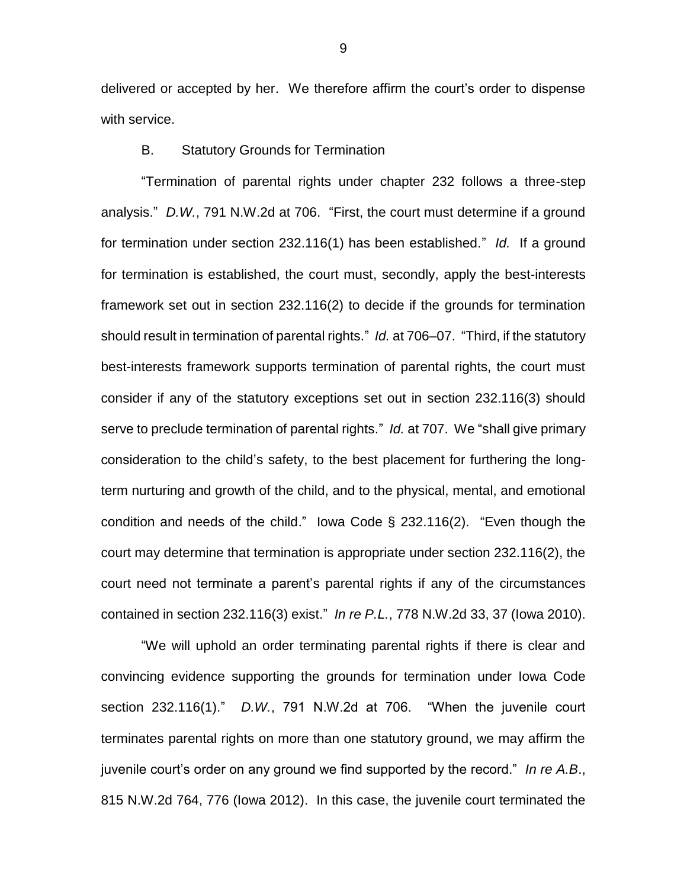delivered or accepted by her. We therefore affirm the court's order to dispense with service.

### B. Statutory Grounds for Termination

"Termination of parental rights under chapter 232 follows a three-step analysis." *D.W.*, 791 N.W.2d at 706. "First, the court must determine if a ground for termination under section 232.116(1) has been established." *Id.* If a ground for termination is established, the court must, secondly, apply the best-interests framework set out in section 232.116(2) to decide if the grounds for termination should result in termination of parental rights." *Id.* at 706–07. "Third, if the statutory best-interests framework supports termination of parental rights, the court must consider if any of the statutory exceptions set out in section 232.116(3) should serve to preclude termination of parental rights." *Id.* at 707. We "shall give primary consideration to the child's safety, to the best placement for furthering the longterm nurturing and growth of the child, and to the physical, mental, and emotional condition and needs of the child." Iowa Code § 232.116(2). "Even though the court may determine that termination is appropriate under section 232.116(2), the court need not terminate a parent's parental rights if any of the circumstances contained in section 232.116(3) exist." *In re P.L.*, 778 N.W.2d 33, 37 (Iowa 2010).

"We will uphold an order terminating parental rights if there is clear and convincing evidence supporting the grounds for termination under Iowa Code section 232.116(1)." *D.W.*, 791 N.W.2d at 706. "When the juvenile court terminates parental rights on more than one statutory ground, we may affirm the juvenile court's order on any ground we find supported by the record." *In re A.B*., 815 N.W.2d 764, 776 (Iowa 2012). In this case, the juvenile court terminated the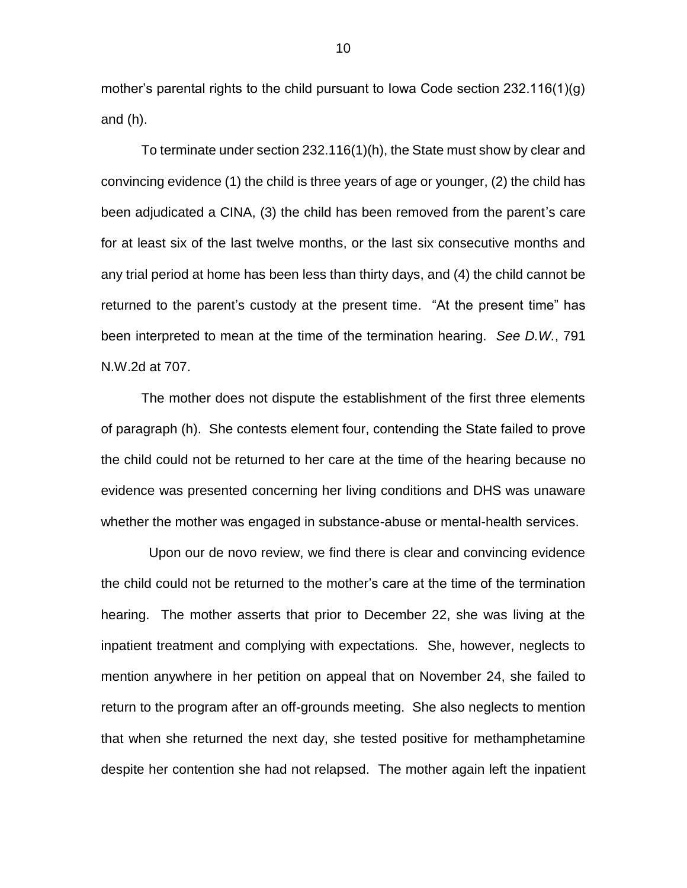mother's parental rights to the child pursuant to Iowa Code section 232.116(1)(g) and (h).

To terminate under section 232.116(1)(h), the State must show by clear and convincing evidence (1) the child is three years of age or younger, (2) the child has been adjudicated a CINA, (3) the child has been removed from the parent's care for at least six of the last twelve months, or the last six consecutive months and any trial period at home has been less than thirty days, and (4) the child cannot be returned to the parent's custody at the present time. "At the present time" has been interpreted to mean at the time of the termination hearing. *See D.W.*, 791 N.W.2d at 707.

The mother does not dispute the establishment of the first three elements of paragraph (h). She contests element four, contending the State failed to prove the child could not be returned to her care at the time of the hearing because no evidence was presented concerning her living conditions and DHS was unaware whether the mother was engaged in substance-abuse or mental-health services.

 Upon our de novo review, we find there is clear and convincing evidence the child could not be returned to the mother's care at the time of the termination hearing. The mother asserts that prior to December 22, she was living at the inpatient treatment and complying with expectations. She, however, neglects to mention anywhere in her petition on appeal that on November 24, she failed to return to the program after an off-grounds meeting. She also neglects to mention that when she returned the next day, she tested positive for methamphetamine despite her contention she had not relapsed. The mother again left the inpatient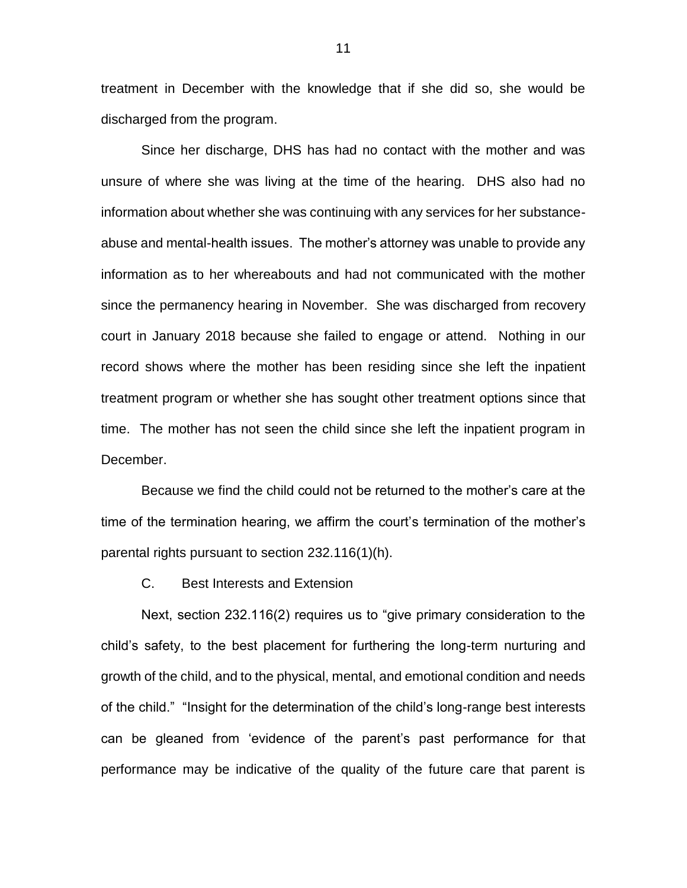treatment in December with the knowledge that if she did so, she would be discharged from the program.

Since her discharge, DHS has had no contact with the mother and was unsure of where she was living at the time of the hearing. DHS also had no information about whether she was continuing with any services for her substanceabuse and mental-health issues. The mother's attorney was unable to provide any information as to her whereabouts and had not communicated with the mother since the permanency hearing in November. She was discharged from recovery court in January 2018 because she failed to engage or attend. Nothing in our record shows where the mother has been residing since she left the inpatient treatment program or whether she has sought other treatment options since that time. The mother has not seen the child since she left the inpatient program in December.

Because we find the child could not be returned to the mother's care at the time of the termination hearing, we affirm the court's termination of the mother's parental rights pursuant to section 232.116(1)(h).

C. Best Interests and Extension

Next, section 232.116(2) requires us to "give primary consideration to the child's safety, to the best placement for furthering the long-term nurturing and growth of the child, and to the physical, mental, and emotional condition and needs of the child." "Insight for the determination of the child's long-range best interests can be gleaned from 'evidence of the parent's past performance for that performance may be indicative of the quality of the future care that parent is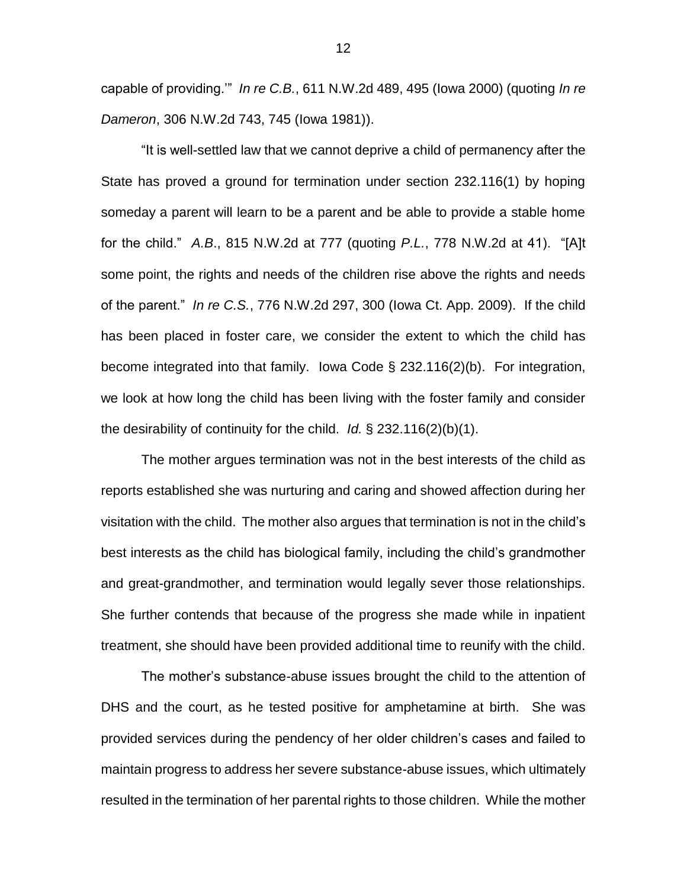capable of providing.'" *In re C.B.*, 611 N.W.2d 489, 495 (Iowa 2000) (quoting *In re Dameron*, 306 N.W.2d 743, 745 (Iowa 1981)).

"It is well-settled law that we cannot deprive a child of permanency after the State has proved a ground for termination under section 232.116(1) by hoping someday a parent will learn to be a parent and be able to provide a stable home for the child." *A.B*., 815 N.W.2d at 777 (quoting *P.L.*, 778 N.W.2d at 41). "[A]t some point, the rights and needs of the children rise above the rights and needs of the parent." *In re C.S.*, 776 N.W.2d 297, 300 (Iowa Ct. App. 2009). If the child has been placed in foster care, we consider the extent to which the child has become integrated into that family. Iowa Code § 232.116(2)(b). For integration, we look at how long the child has been living with the foster family and consider the desirability of continuity for the child. *Id.* § 232.116(2)(b)(1).

The mother argues termination was not in the best interests of the child as reports established she was nurturing and caring and showed affection during her visitation with the child. The mother also argues that termination is not in the child's best interests as the child has biological family, including the child's grandmother and great-grandmother, and termination would legally sever those relationships. She further contends that because of the progress she made while in inpatient treatment, she should have been provided additional time to reunify with the child.

The mother's substance-abuse issues brought the child to the attention of DHS and the court, as he tested positive for amphetamine at birth. She was provided services during the pendency of her older children's cases and failed to maintain progress to address her severe substance-abuse issues, which ultimately resulted in the termination of her parental rights to those children. While the mother

12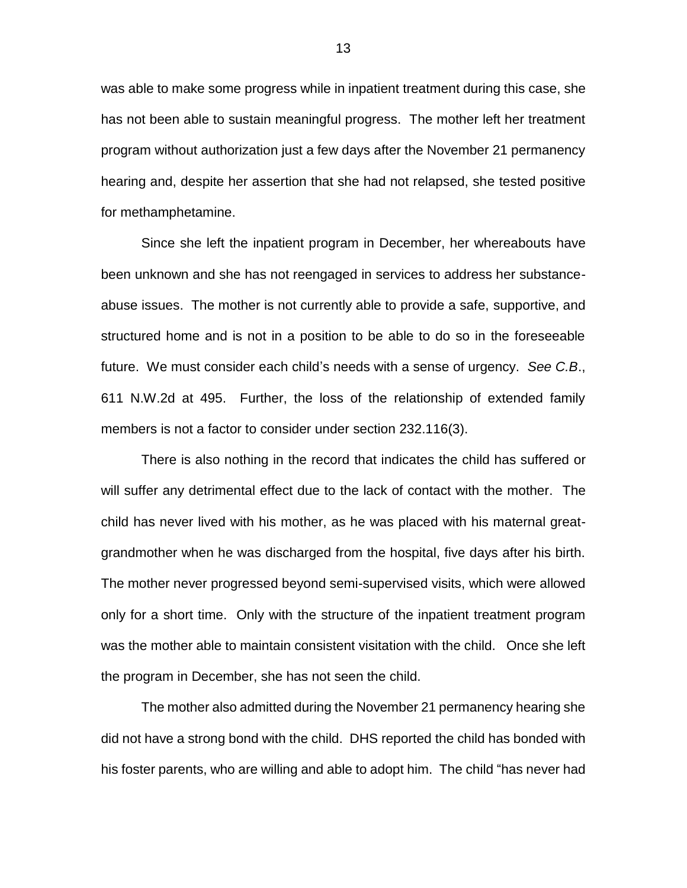was able to make some progress while in inpatient treatment during this case, she has not been able to sustain meaningful progress. The mother left her treatment program without authorization just a few days after the November 21 permanency hearing and, despite her assertion that she had not relapsed, she tested positive for methamphetamine.

Since she left the inpatient program in December, her whereabouts have been unknown and she has not reengaged in services to address her substanceabuse issues. The mother is not currently able to provide a safe, supportive, and structured home and is not in a position to be able to do so in the foreseeable future. We must consider each child's needs with a sense of urgency. *See C.B*., 611 N.W.2d at 495. Further, the loss of the relationship of extended family members is not a factor to consider under section 232.116(3).

There is also nothing in the record that indicates the child has suffered or will suffer any detrimental effect due to the lack of contact with the mother. The child has never lived with his mother, as he was placed with his maternal greatgrandmother when he was discharged from the hospital, five days after his birth. The mother never progressed beyond semi-supervised visits, which were allowed only for a short time. Only with the structure of the inpatient treatment program was the mother able to maintain consistent visitation with the child. Once she left the program in December, she has not seen the child.

The mother also admitted during the November 21 permanency hearing she did not have a strong bond with the child. DHS reported the child has bonded with his foster parents, who are willing and able to adopt him. The child "has never had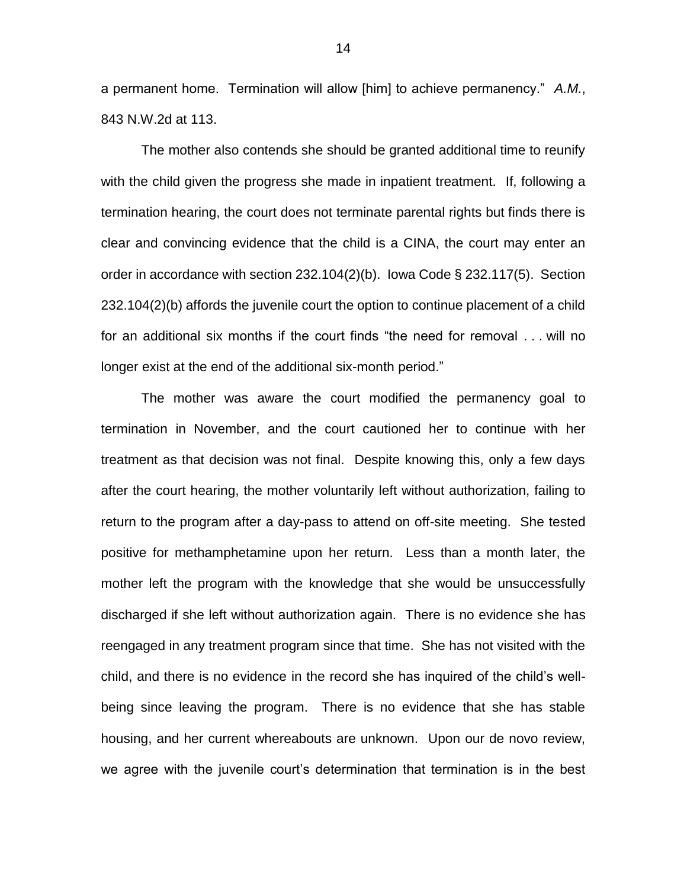a permanent home. Termination will allow [him] to achieve permanency." *A.M.*, 843 N.W.2d at 113.

The mother also contends she should be granted additional time to reunify with the child given the progress she made in inpatient treatment. If, following a termination hearing, the court does not terminate parental rights but finds there is clear and convincing evidence that the child is a CINA, the court may enter an order in accordance with section 232.104(2)(b). Iowa Code § 232.117(5). Section 232.104(2)(b) affords the juvenile court the option to continue placement of a child for an additional six months if the court finds "the need for removal . . . will no longer exist at the end of the additional six-month period."

The mother was aware the court modified the permanency goal to termination in November, and the court cautioned her to continue with her treatment as that decision was not final. Despite knowing this, only a few days after the court hearing, the mother voluntarily left without authorization, failing to return to the program after a day-pass to attend on off-site meeting. She tested positive for methamphetamine upon her return. Less than a month later, the mother left the program with the knowledge that she would be unsuccessfully discharged if she left without authorization again. There is no evidence she has reengaged in any treatment program since that time. She has not visited with the child, and there is no evidence in the record she has inquired of the child's wellbeing since leaving the program. There is no evidence that she has stable housing, and her current whereabouts are unknown. Upon our de novo review, we agree with the juvenile court's determination that termination is in the best